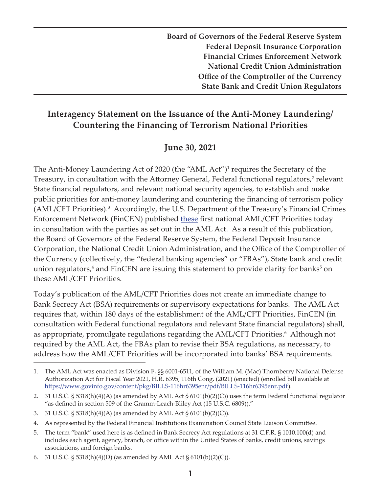**Board of Governors of the Federal Reserve System Federal Deposit Insurance Corporation Financial Crimes Enforcement Network National Credit Union Administration Office of the Comptroller of the Currency State Bank and Credit Union Regulators**

## **Interagency Statement on the Issuance of the Anti-Money Laundering/ Countering the Financing of Terrorism National Priorities**

## **June 30, 2021**

The Anti-Money Laundering Act of 2020 (the "AML Act")<sup>1</sup> requires the Secretary of the Treasury, in consultation with the Attorney General, Federal functional regulators,<sup>2</sup> relevant State financial regulators, and relevant national security agencies, to establish and make public priorities for anti-money laundering and countering the financing of terrorism policy (AML/CFT Priorities).<sup>3</sup> Accordingly, the U.S. Department of the Treasury's Financial Crimes Enforcement Network (FinCEN) published [these](https://www.fincen.gov/sites/default/files/shared/AML_CFT Priorities (June 30%2C 2021).pdf) first national AML/CFT Priorities today in consultation with the parties as set out in the AML Act. As a result of this publication, the Board of Governors of the Federal Reserve System, the Federal Deposit Insurance Corporation, the National Credit Union Administration, and the Office of the Comptroller of the Currency (collectively, the "federal banking agencies" or "FBAs"), State bank and credit union regulators, $4$  and FinCEN are issuing this statement to provide clarity for banks<sup>5</sup> on these AML/CFT Priorities.

Today's publication of the AML/CFT Priorities does not create an immediate change to Bank Secrecy Act (BSA) requirements or supervisory expectations for banks. The AML Act requires that, within 180 days of the establishment of the AML/CFT Priorities, FinCEN (in consultation with Federal functional regulators and relevant State financial regulators) shall, as appropriate, promulgate regulations regarding the AML/CFT Priorities.<sup>6</sup> Although not required by the AML Act, the FBAs plan to revise their BSA regulations, as necessary, to address how the AML/CFT Priorities will be incorporated into banks' BSA requirements.

<sup>1.</sup> The AML Act was enacted as Division F, §§ 6001-6511, of the William M. (Mac) Thornberry National Defense Authorization Act for Fiscal Year 2021, H.R. 6395, 116th Cong. (2021) (enacted) (enrolled bill available at https://www.govinfo.gov/content/pkg/BILLS-116hr6395enr/pdf/BILLS-116hr6395enr.pdf).

<sup>2.</sup> 31 U.S.C. § 5318(h)(4)(A) (as amended by AML Act § 6101(b)(2)(C)) uses the term Federal functional regulator "as defined in section 509 of the Gramm-Leach-Bliley Act (15 U.S.C. 6809))."

<sup>3.</sup> 31 U.S.C. § 5318(h)(4)(A) (as amended by AML Act § 6101(b)(2)(C)).

<sup>4.</sup> As represented by the Federal Financial Institutions Examination Council State Liaison Committee.

<sup>5.</sup> The term "bank" used here is as defined in Bank Secrecy Act regulations at 31 C.F.R. § 1010.100(d) and includes each agent, agency, branch, or office within the United States of banks, credit unions, savings associations, and foreign banks.

<sup>6.</sup> 31 U.S.C. § 5318(h)(4)(D) (as amended by AML Act § 6101(b)(2)(C)).